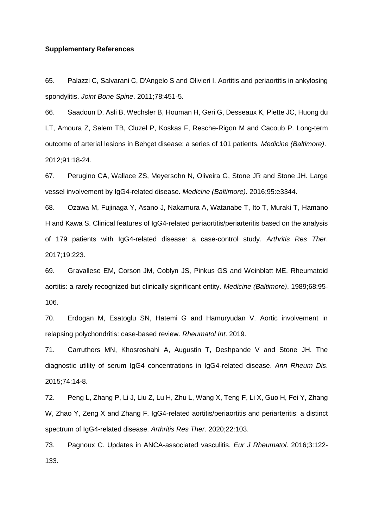## **Supplementary References**

65. Palazzi C, Salvarani C, D'Angelo S and Olivieri I. Aortitis and periaortitis in ankylosing spondylitis. *Joint Bone Spine*. 2011;78:451-5.

66. Saadoun D, Asli B, Wechsler B, Houman H, Geri G, Desseaux K, Piette JC, Huong du LT, Amoura Z, Salem TB, Cluzel P, Koskas F, Resche-Rigon M and Cacoub P. Long-term outcome of arterial lesions in Behçet disease: a series of 101 patients. *Medicine (Baltimore)*. 2012;91:18-24.

67. Perugino CA, Wallace ZS, Meyersohn N, Oliveira G, Stone JR and Stone JH. Large vessel involvement by IgG4-related disease. *Medicine (Baltimore)*. 2016;95:e3344.

68. Ozawa M, Fujinaga Y, Asano J, Nakamura A, Watanabe T, Ito T, Muraki T, Hamano H and Kawa S. Clinical features of IgG4-related periaortitis/periarteritis based on the analysis of 179 patients with IgG4-related disease: a case-control study. *Arthritis Res Ther*. 2017;19:223.

69. Gravallese EM, Corson JM, Coblyn JS, Pinkus GS and Weinblatt ME. Rheumatoid aortitis: a rarely recognized but clinically significant entity. *Medicine (Baltimore)*. 1989;68:95- 106.

70. Erdogan M, Esatoglu SN, Hatemi G and Hamuryudan V. Aortic involvement in relapsing polychondritis: case-based review. *Rheumatol Int*. 2019.

71. Carruthers MN, Khosroshahi A, Augustin T, Deshpande V and Stone JH. The diagnostic utility of serum IgG4 concentrations in IgG4-related disease. *Ann Rheum Dis*. 2015;74:14-8.

72. Peng L, Zhang P, Li J, Liu Z, Lu H, Zhu L, Wang X, Teng F, Li X, Guo H, Fei Y, Zhang W, Zhao Y, Zeng X and Zhang F. IgG4-related aortitis/periaortitis and periarteritis: a distinct spectrum of IgG4-related disease. *Arthritis Res Ther*. 2020;22:103.

73. Pagnoux C. Updates in ANCA-associated vasculitis. *Eur J Rheumatol*. 2016;3:122- 133.